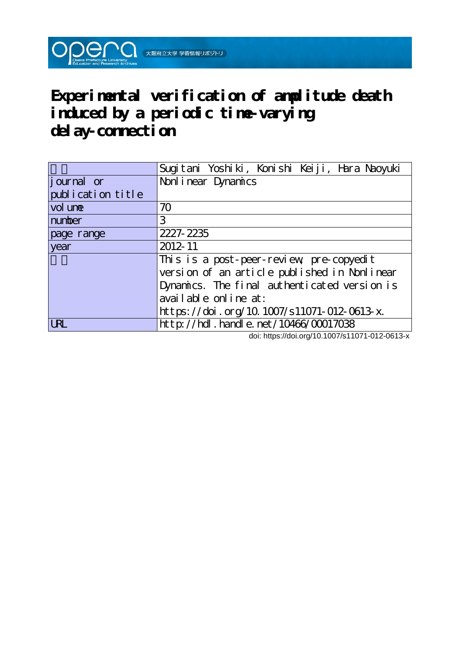**Experimental verification of amplitude death induced by a periodic time-varying delay-connection**

|                    | Sugitani Yoshiki, Konishi Keiji, Hara Naoyuki |
|--------------------|-----------------------------------------------|
| <i>j</i> ournal or | Nonl i near Dynamics                          |
| publication title  |                                               |
| vol une            | 70                                            |
| number             | 3                                             |
| page range         | 2227-2235                                     |
| year               | $2012 - 11$                                   |
|                    | This is a post-peer-review pre-copyedit       |
|                    | version of an article published in Nonlinear  |
|                    | Dynamics. The final authenticated version is  |
|                    | available online at:                          |
|                    | https://doi.org/10.1007/s11071-012-0613-x.    |
| IRI                | http://hdl.handle.net/10466/00017038          |

doi: https://doi.org/10.1007/s11071-012-0613-x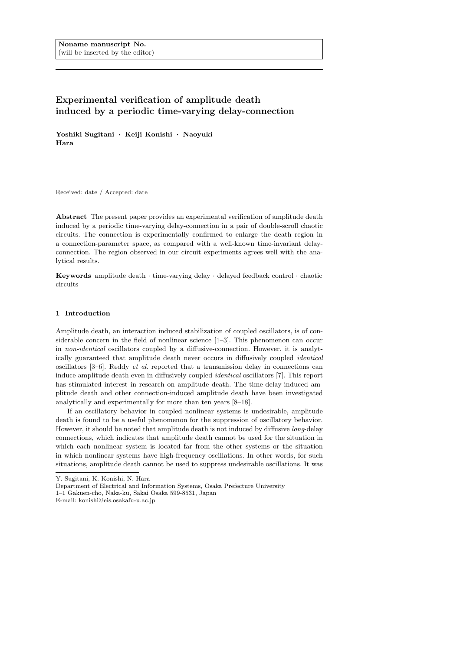# **Experimental verification of amplitude death induced by a periodic time-varying delay-connection**

**Yoshiki Sugitani** ´ **Keiji Konishi** ´ **Naoyuki Hara**

Received: date / Accepted: date

**Abstract** The present paper provides an experimental verification of amplitude death induced by a periodic time-varying delay-connection in a pair of double-scroll chaotic circuits. The connection is experimentally confirmed to enlarge the death region in a connection-parameter space, as compared with a well-known time-invariant delayconnection. The region observed in our circuit experiments agrees well with the analytical results.

**Keywords** amplitude death *·* time-varying delay *·* delayed feedback control *·* chaotic circuits

## **1 Introduction**

Amplitude death, an interaction induced stabilization of coupled oscillators, is of considerable concern in the field of nonlinear science [1–3]. This phenomenon can occur in *non-identical* oscillators coupled by a diffusive-connection. However, it is analytically guaranteed that amplitude death never occurs in diffusively coupled *identical* oscillators [3–6]. Reddy *et al*. reported that a transmission delay in connections can induce amplitude death even in diffusively coupled *identical* oscillators [7]. This report has stimulated interest in research on amplitude death. The time-delay-induced amplitude death and other connection-induced amplitude death have been investigated analytically and experimentally for more than ten years [8–18].

If an oscillatory behavior in coupled nonlinear systems is undesirable, amplitude death is found to be a useful phenomenon for the suppression of oscillatory behavior. However, it should be noted that amplitude death is not induced by diffusive *long*-delay connections, which indicates that amplitude death cannot be used for the situation in which each nonlinear system is located far from the other systems or the situation in which nonlinear systems have high-frequency oscillations. In other words, for such situations, amplitude death cannot be used to suppress undesirable oscillations. It was

Y. Sugitani, K. Konishi, N. Hara

Department of Electrical and Information Systems, Osaka Prefecture University

<sup>1–1</sup> Gakuen-cho, Naka-ku, Sakai Osaka 599-8531, Japan

E-mail: konishi@eis.osakafu-u.ac.jp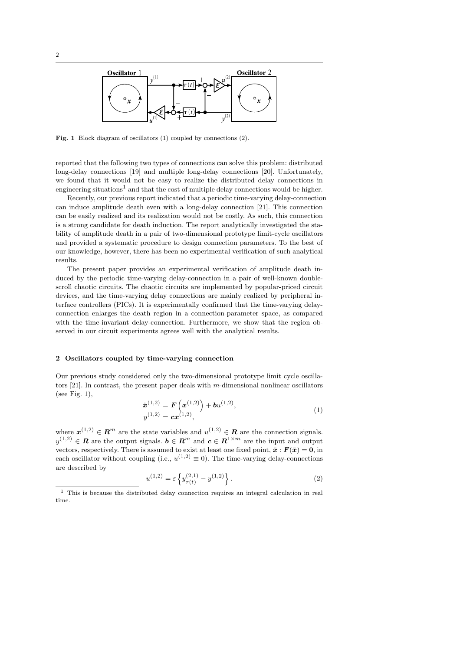

**Fig. 1** Block diagram of oscillators (1) coupled by connections (2).

reported that the following two types of connections can solve this problem: distributed long-delay connections [19] and multiple long-delay connections [20]. Unfortunately, we found that it would not be easy to realize the distributed delay connections in engineering situations<sup>1</sup> and that the cost of multiple delay connections would be higher.

Recently, our previous report indicated that a periodic time-varying delay-connection can induce amplitude death even with a long-delay connection [21]. This connection can be easily realized and its realization would not be costly. As such, this connection is a strong candidate for death induction. The report analytically investigated the stability of amplitude death in a pair of two-dimensional prototype limit-cycle oscillators and provided a systematic procedure to design connection parameters. To the best of our knowledge, however, there has been no experimental verification of such analytical results.

The present paper provides an experimental verification of amplitude death induced by the periodic time-varying delay-connection in a pair of well-known doublescroll chaotic circuits. The chaotic circuits are implemented by popular-priced circuit devices, and the time-varying delay connections are mainly realized by peripheral interface controllers (PICs). It is experimentally confirmed that the time-varying delayconnection enlarges the death region in a connection-parameter space, as compared with the time-invariant delay-connection. Furthermore, we show that the region observed in our circuit experiments agrees well with the analytical results.

# **2 Oscillators coupled by time-varying connection**

Our previous study considered only the two-dimensional prototype limit cycle oscillators [21]. In contrast, the present paper deals with *m*-dimensional nonlinear oscillators (see Fig. 1),

$$
\dot{\boldsymbol{x}}^{(1,2)} = \boldsymbol{F}\left(\boldsymbol{x}^{(1,2)}\right) + \boldsymbol{b}u^{(1,2)},
$$
\n
$$
y^{(1,2)} = \boldsymbol{c}\boldsymbol{x}^{(1,2)},
$$
\n(1)

where  $\mathbf{x}^{(1,2)} \in \mathbf{R}^m$  are the state variables and  $u^{(1,2)} \in \mathbf{R}$  are the connection signals. *y*<sup>(1,2)</sup> ∈ **R** are the output signals.  $b \in \mathbb{R}^m$  and  $c \in \mathbb{R}^{1 \times m}$  are the input and output vectors, respectively. There is assumed to exist at least one fixed point,  $\bar{x}$  :  $F(\bar{x}) = 0$ , in each oscillator without coupling (i.e.,  $u^{(1,2)} \equiv 0$ ). The time-varying delay-connections are described by

$$
u^{(1,2)} = \varepsilon \left\{ y_{\tau(t)}^{(2,1)} - y^{(1,2)} \right\}.
$$
 (2)

 $^{\rm 1}$  This is because the distributed delay connection requires an integral calculation in real time.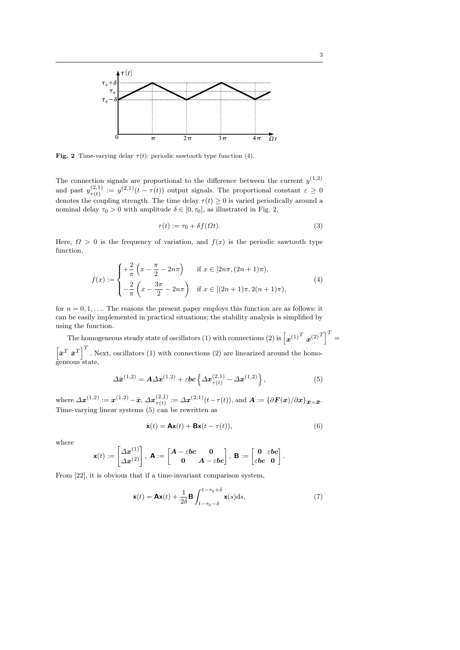

**Fig.** 2 Time-varying delay  $\tau(t)$ : periodic sawtooth type function (4).

The connection signals are proportional to the difference between the current  $y^{(1,2)}$ and past  $y_{\tau(t)}^{(2,1)}$  $\tau(t) := y^{(2,1)}(t - \tau(t))$  output signals. The proportional constant  $\varepsilon \geq 0$ denotes the coupling strength. The time delay  $\tau(t) \geq 0$  is varied periodically around a nominal delay  $\tau_0 > 0$  with amplitude  $\delta \in [0, \tau_0]$ , as illustrated in Fig. 2,

$$
\tau(t) := \tau_0 + \delta f(\Omega t). \tag{3}
$$

Here,  $\Omega > 0$  is the frequency of variation, and  $f(x)$  is the periodic sawtooth type function,

$$
f(x) := \begin{cases} +\frac{2}{\pi} \left( x - \frac{\pi}{2} - 2n\pi \right) & \text{if } x \in [2n\pi, (2n+1)\pi), \\ -\frac{2}{\pi} \left( x - \frac{3\pi}{2} - 2n\pi \right) & \text{if } x \in [(2n+1)\pi, 2(n+1)\pi), \end{cases}
$$
(4)

for  $n = 0, 1, \ldots$  The reasons the present paper employs this function are as follows: it can be easily implemented in practical situations; the stability analysis is simplified by using the function.

The homogeneous steady state of oscillators (1) with connections (2) is  $\left[\boldsymbol{x}^{(1)^T} \ \boldsymbol{x}^{(2)^T}\right]^T =$  $\left[\bar{x}^T \bar{x}^T\right]^T$ . Next, oscillators (1) with connections (2) are linearized around the homogeneous state,

$$
\Delta \dot{x}^{(1,2)} = A \Delta x^{(1,2)} + \varepsilon bc \left\{ \Delta x_{\tau(t)}^{(2,1)} - \Delta x^{(1,2)} \right\},\tag{5}
$$

where  $\Delta x^{(1,2)} := x^{(1,2)} - \bar{x}, \Delta x^{(2,1)}_{\tau(t)}$  $\tau(t) := \Delta x^{(2,1)}(t - \tau(t)),$  and  $\boldsymbol{A} := \{ \partial \boldsymbol{F}(\boldsymbol{x}) / \partial \boldsymbol{x} \}_{\boldsymbol{x} = \bar{\boldsymbol{x}}}.$ Time-varying linear systems (5) can be rewritten as

$$
\dot{\mathbf{x}}(t) = \mathbf{A}\mathbf{x}(t) + \mathbf{B}\mathbf{x}(t - \tau(t)),\tag{6}
$$

where

$$
\mathbf{x}(t) := \begin{bmatrix} \Delta \mathbf{x}^{(1)} \\ \Delta \mathbf{x}^{(2)} \end{bmatrix}, \ \mathbf{A} := \begin{bmatrix} \mathbf{A} - \varepsilon \mathbf{b} \mathbf{c} & \mathbf{0} \\ \mathbf{0} & \mathbf{A} - \varepsilon \mathbf{b} \mathbf{c} \end{bmatrix}, \ \mathbf{B} := \begin{bmatrix} \mathbf{0} & \varepsilon \mathbf{b} \mathbf{c} \\ \varepsilon \mathbf{b} \mathbf{c} & \mathbf{0} \end{bmatrix}.
$$

From [22], it is obvious that if a time-invariant comparison system,

$$
\dot{\mathbf{x}}(t) = \mathbf{A}\mathbf{x}(t) + \frac{1}{2\delta} \mathbf{B} \int_{t-\tau_0-\delta}^{t-\tau_0+\delta} \mathbf{x}(s) \mathrm{d}s,\tag{7}
$$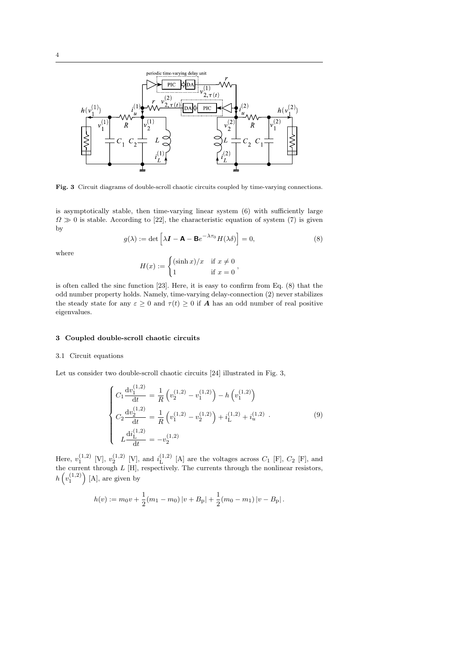

Fig. 3 Circuit diagrams of double-scroll chaotic circuits coupled by time-varying connections.

is asymptotically stable, then time-varying linear system (6) with sufficiently large  $\Omega \gg 0$  is stable. According to [22], the characteristic equation of system (7) is given by

$$
g(\lambda) := \det \left[ \lambda \mathbf{I} - \mathbf{A} - \mathbf{B} e^{-\lambda \tau_0} H(\lambda \delta) \right] = 0,
$$
\n(8)

where

$$
H(x) := \begin{cases} (\sinh x)/x & \text{if } x \neq 0 \\ 1 & \text{if } x = 0 \end{cases}
$$

is often called the sinc function [23]. Here, it is easy to confirm from Eq. (8) that the odd number property holds. Namely, time-varying delay-connection (2) never stabilizes the steady state for any  $\varepsilon \geq 0$  and  $\tau(t) \geq 0$  if **A** has an odd number of real positive eigenvalues.

# **3 Coupled double-scroll chaotic circuits**

(1*,*2)

## 3.1 Circuit equations

Let us consider two double-scroll chaotic circuits [24] illustrated in Fig. 3,

$$
\begin{cases}\nC_1 \frac{dv_1^{(1,2)}}{dt} = \frac{1}{R} \left( v_2^{(1,2)} - v_1^{(1,2)} \right) - h \left( v_1^{(1,2)} \right) \\
C_2 \frac{dv_2^{(1,2)}}{dt} = \frac{1}{R} \left( v_1^{(1,2)} - v_2^{(1,2)} \right) + i_L^{(1,2)} + i_u^{(1,2)} . \\
L \frac{di_L^{(1,2)}}{dt} = -v_2^{(1,2)}\n\end{cases} \tag{9}
$$

Here,  $v_1^{(1,2)}$  [V],  $v_2^{(1,2)}$  [V], and  $i_L^{(1,2)}$  $L^{(1,2)}$  [A] are the voltages across  $C_1$  [F],  $C_2$  [F], and the current through *L* [H], respectively. The currents through the nonlinear resistors,  $h(v_1^{(1,2)}$  $\big)$  [A], are given by

$$
h(v) := m_0 v + \frac{1}{2}(m_1 - m_0) |v + B_{\rm p}| + \frac{1}{2}(m_0 - m_1) |v - B_{\rm p}|.
$$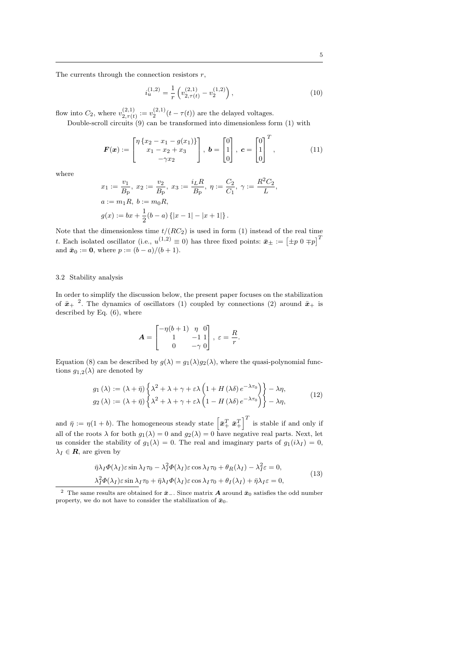The currents through the connection resistors *r*,

$$
i_u^{(1,2)} = \frac{1}{r} \left( v_{2,\tau(t)}^{(2,1)} - v_2^{(1,2)} \right),\tag{10}
$$

flow into  $C_2$ , where  $v_{2\tau(t)}^{(2,1)}$  $v_{2,\tau(t)}^{(2,1)} := v_2^{(2,1)}(t - \tau(t))$  are the delayed voltages.

Double-scroll circuits  $(9)$  can be transformed into dimensionless form  $(1)$  with

$$
\boldsymbol{F}(\boldsymbol{x}) := \begin{bmatrix} \eta \{x_2 - x_1 - g(x_1)\} \\ x_1 - x_2 + x_3 \\ -\gamma x_2 \end{bmatrix}, \ \boldsymbol{b} = \begin{bmatrix} 0 \\ 1 \\ 0 \end{bmatrix}, \ \boldsymbol{c} = \begin{bmatrix} 0 \\ 1 \\ 0 \end{bmatrix}^T, \tag{11}
$$

where

$$
x_1 := \frac{v_1}{B_{\rm p}}, \ x_2 := \frac{v_2}{B_{\rm p}}, \ x_3 := \frac{i_L R}{B_{\rm p}}, \ \eta := \frac{C_2}{C_1}, \ \gamma := \frac{R^2 C_2}{L},
$$
  

$$
a := m_1 R, \ b := m_0 R,
$$
  

$$
g(x) := bx + \frac{1}{2}(b - a) \{|x - 1| - |x + 1|\}.
$$

Note that the dimensionless time  $t/(RC_2)$  is used in form (1) instead of the real time *t*. Each isolated oscillator (i.e.,  $u^{(1,2)} \equiv 0$ ) has three fixed points:  $\bar{x}_{\pm} := \left[ \pm p \; 0 \mp p \right]^T$ and  $\bar{x}_0 := 0$ , where  $p := (b - a)/(b + 1)$ .

# 3.2 Stability analysis

In order to simplify the discussion below, the present paper focuses on the stabilization of  $\bar{x}_{+}$ <sup>2</sup>. The dynamics of oscillators (1) coupled by connections (2) around  $\bar{x}_{+}$  is described by Eq. (6), where

$$
\mathbf{A} = \begin{bmatrix} -\eta(b+1) & \eta & 0 \\ 1 & -1 & 1 \\ 0 & -\gamma & 0 \end{bmatrix}, \ \varepsilon = \frac{R}{r}.
$$

Equation (8) can be described by  $g(\lambda) = g_1(\lambda)g_2(\lambda)$ , where the quasi-polynomial functions  $g_{1,2}(\lambda)$  are denoted by

$$
g_1(\lambda) := (\lambda + \bar{\eta}) \left\{ \lambda^2 + \lambda + \gamma + \varepsilon \lambda \left( 1 + H(\lambda \delta) e^{-\lambda \tau_0} \right) \right\} - \lambda \eta,
$$
  
\n
$$
g_2(\lambda) := (\lambda + \bar{\eta}) \left\{ \lambda^2 + \lambda + \gamma + \varepsilon \lambda \left( 1 - H(\lambda \delta) e^{-\lambda \tau_0} \right) \right\} - \lambda \eta,
$$
\n(12)

and  $\bar{\eta} := \eta(1+b)$ . The homogeneous steady state  $\left[\bar{\boldsymbol{x}}_+^T \ \bar{\boldsymbol{x}}_+^T\right]$  $\left| \right|^T$  is stable if and only if all of the roots  $\lambda$  for both  $g_1(\lambda) = 0$  and  $g_2(\lambda) = 0$  have negative real parts. Next, let us consider the stability of  $g_1(\lambda) = 0$ . The real and imaginary parts of  $g_1(i\lambda_I) = 0$ ,  $\lambda_I \in \mathbf{R}$ , are given by

$$
\bar{\eta}\lambda_I\Phi(\lambda_I)\varepsilon\sin\lambda_I\tau_0 - \lambda_I^2\Phi(\lambda_I)\varepsilon\cos\lambda_I\tau_0 + \theta_R(\lambda_I) - \lambda_I^2\varepsilon = 0,
$$
  

$$
\lambda_I^2\Phi(\lambda_I)\varepsilon\sin\lambda_I\tau_0 + \bar{\eta}\lambda_I\Phi(\lambda_I)\varepsilon\cos\lambda_I\tau_0 + \theta_I(\lambda_I) + \bar{\eta}\lambda_I\varepsilon = 0,
$$
\n(13)

<sup>&</sup>lt;sup>2</sup> The same results are obtained for  $\bar{x}$ <sub>−</sub>. Since matrix **A** around  $\bar{x}_0$  satisfies the odd number property, we do not have to consider the stabilization of  $\bar{x}_0$ .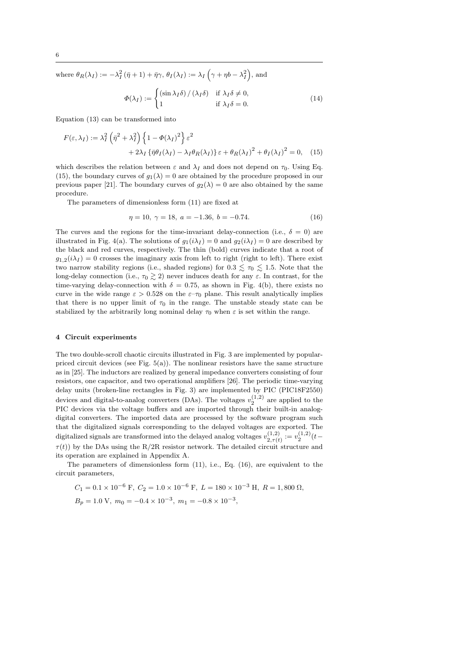where  $\theta_R(\lambda_I) := -\lambda_I^2(\bar{\eta} + 1) + \bar{\eta}\gamma$ ,  $\theta_I(\lambda_I) := \lambda_I(\gamma + \eta b - \lambda_I^2)$  $\big)$ , and

$$
\Phi(\lambda_I) := \begin{cases}\n(\sin \lambda_I \delta) / (\lambda_I \delta) & \text{if } \lambda_I \delta \neq 0, \\
1 & \text{if } \lambda_I \delta = 0.\n\end{cases}
$$
\n(14)

Equation (13) can be transformed into

$$
F(\varepsilon, \lambda_I) := \lambda_I^2 \left( \bar{\eta}^2 + \lambda_I^2 \right) \left\{ 1 - \Phi(\lambda_I)^2 \right\} \varepsilon^2
$$
  
+ 
$$
2\lambda_I \left\{ \bar{\eta} \theta_I(\lambda_I) - \lambda_I \theta_R(\lambda_I) \right\} \varepsilon + \theta_R(\lambda_I)^2 + \theta_I(\lambda_I)^2 = 0, \quad (15)
$$

which describes the relation between  $\varepsilon$  and  $\lambda_I$  and does not depend on  $\tau_0$ . Using Eq. (15), the boundary curves of  $g_1(\lambda) = 0$  are obtained by the procedure proposed in our previous paper [21]. The boundary curves of  $g_2(\lambda) = 0$  are also obtained by the same procedure.

The parameters of dimensionless form (11) are fixed at

$$
\eta = 10, \ \gamma = 18, \ a = -1.36, \ b = -0.74. \tag{16}
$$

The curves and the regions for the time-invariant delay-connection (i.e.,  $\delta = 0$ ) are illustrated in Fig. 4(a). The solutions of  $g_1(i\lambda_I) = 0$  and  $g_2(i\lambda_I) = 0$  are described by the black and red curves, respectively. The thin (bold) curves indicate that a root of  $g_{1,2}(i\lambda_I) = 0$  crosses the imaginary axis from left to right (right to left). There exist two narrow stability regions (i.e., shaded regions) for  $0.3 \leq \tau_0 \leq 1.5$ . Note that the long-delay connection (i.e.,  $\tau_0 \gtrsim 2$ ) never induces death for any  $\varepsilon$ . In contrast, for the time-varying delay-connection with  $\delta = 0.75$ , as shown in Fig. 4(b), there exists no curve in the wide range  $\varepsilon > 0.528$  on the  $\varepsilon-\tau_0$  plane. This result analytically implies that there is no upper limit of  $\tau_0$  in the range. The unstable steady state can be stabilized by the arbitrarily long nominal delay  $\tau_0$  when  $\varepsilon$  is set within the range.

## **4 Circuit experiments**

The two double-scroll chaotic circuits illustrated in Fig. 3 are implemented by popularpriced circuit devices (see Fig.  $5(a)$ ). The nonlinear resistors have the same structure as in [25]. The inductors are realized by general impedance converters consisting of four resistors, one capacitor, and two operational amplifiers [26]. The periodic time-varying delay units (broken-line rectangles in Fig. 3) are implemented by PIC (PIC18F2550) devices and digital-to-analog converters (DAs). The voltages  $v_2^{(1,2)}$  are applied to the PIC devices via the voltage buffers and are imported through their built-in analogdigital converters. The imported data are processed by the software program such that the digitalized signals corresponding to the delayed voltages are exported. The digitalized signals are transformed into the delayed analog voltages  $v_{2,\pi l}^{(1,2)}$  $v_{2,\tau(t)}^{(1,2)} := v_2^{(1,2)}(t \tau(t)$ ) by the DAs using the R/2R resistor network. The detailed circuit structure and its operation are explained in Appendix A.

The parameters of dimensionless form  $(11)$ , i.e., Eq.  $(16)$ , are equivalent to the circuit parameters,

$$
C_1 = 0.1 \times 10^{-6}
$$
 F,  $C_2 = 1.0 \times 10^{-6}$  F,  $L = 180 \times 10^{-3}$  H,  $R = 1,800$   $\Omega$ ,  
\n $B_p = 1.0$  V,  $m_0 = -0.4 \times 10^{-3}$ ,  $m_1 = -0.8 \times 10^{-3}$ ,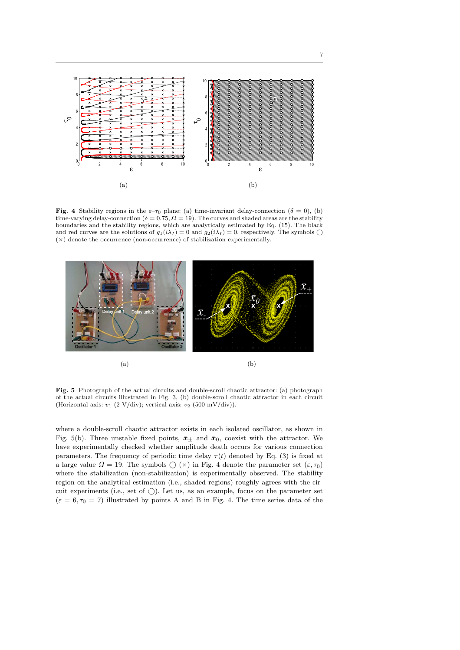

**Fig.** 4 Stability regions in the  $\varepsilon-\tau_0$  plane: (a) time-invariant delay-connection ( $\delta = 0$ ), (b) time-varying delay-connection ( $\delta = 0.75, \Omega = 19$ ). The curves and shaded areas are the stability boundaries and the stability regions, which are analytically estimated by Eq. (15). The black and red curves are the solutions of  $g_1(i\lambda_I) = 0$  and  $g_2(i\lambda_I) = 0$ , respectively. The symbols  $\bigcirc$ (*×*) denote the occurrence (non-occurrence) of stabilization experimentally.



**Fig. 5** Photograph of the actual circuits and double-scroll chaotic attractor: (a) photograph of the actual circuits illustrated in Fig. 3, (b) double-scroll chaotic attractor in each circuit (Horizontal axis:  $v_1$  (2 V/div); vertical axis:  $v_2$  (500 mV/div)).

where a double-scroll chaotic attractor exists in each isolated oscillator, as shown in Fig. 5(b). Three unstable fixed points,  $\bar{x}_{\pm}$  and  $\bar{x}_0$ , coexist with the attractor. We have experimentally checked whether amplitude death occurs for various connection parameters. The frequency of periodic time delay  $\tau(t)$  denoted by Eq. (3) is fixed at a large value  $\Omega = 19$ . The symbols  $\bigcirc$  ( $\times$ ) in Fig. 4 denote the parameter set  $(\varepsilon, \tau_0)$ where the stabilization (non-stabilization) is experimentally observed. The stability region on the analytical estimation (i.e., shaded regions) roughly agrees with the circuit experiments (i.e., set of  $\bigcirc$ ). Let us, as an example, focus on the parameter set  $(\varepsilon = 6, \tau_0 = 7)$  illustrated by points A and B in Fig. 4. The time series data of the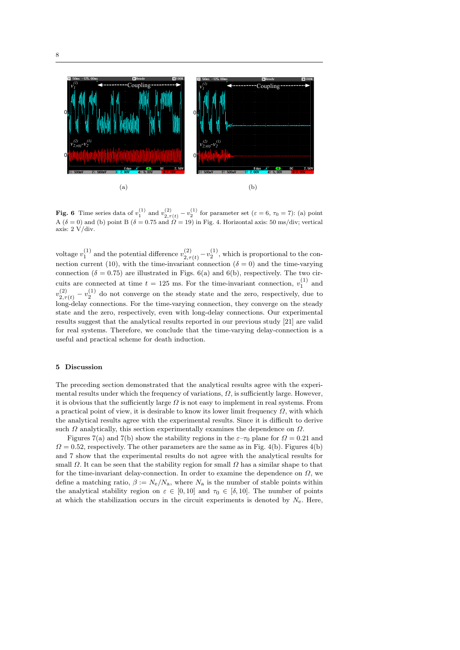

**Fig.** 6 Time series data of  $v_1^{(1)}$  and  $v_{2,\tau(t)}^{(2)} - v_2^{(1)}$  for parameter set ( $\varepsilon = 6, \tau_0 = 7$ ): (a) point  $A(\delta = 0)$  and (b) point  $B(\delta = 0.75 \text{ and } \Omega = 19)$  in Fig. 4. Horizontal axis: 50 ms/div; vertical axis: 2 V/div.

voltage  $v_1^{(1)}$  and the potential difference  $v_{2,\tau}^{(2)}$  $\frac{(2)}{2,\tau(t)} - v_2^{(1)}$ , which is proportional to the connection current (10), with the time-invariant connection ( $\delta = 0$ ) and the time-varying connection ( $\delta = 0.75$ ) are illustrated in Figs. 6(a) and 6(b), respectively. The two circuits are connected at time  $t = 125$  ms. For the time-invariant connection,  $v_1^{(1)}$  and 1  $v_2^{(2)}$  $v_{2,\tau(t)}^{(2)} - v_2^{(1)}$  do not converge on the steady state and the zero, respectively, due to long-delay connections. For the time-varying connection, they converge on the steady state and the zero, respectively, even with long-delay connections. Our experimental results suggest that the analytical results reported in our previous study [21] are valid for real systems. Therefore, we conclude that the time-varying delay-connection is a useful and practical scheme for death induction.

# **5 Discussion**

The preceding section demonstrated that the analytical results agree with the experimental results under which the frequency of variations,  $\Omega$ , is sufficiently large. However, it is obvious that the sufficiently large  $\Omega$  is not easy to implement in real systems. From a practical point of view, it is desirable to know its lower limit frequency  $\Omega$ , with which the analytical results agree with the experimental results. Since it is difficult to derive such *Ω* analytically, this section experimentally examines the dependence on *Ω*.

Figures 7(a) and 7(b) show the stability regions in the  $\varepsilon-\tau_0$  plane for  $\Omega = 0.21$  and  $Q = 0.52$ , respectively. The other parameters are the same as in Fig. 4(b). Figures 4(b) and 7 show that the experimental results do not agree with the analytical results for small  $\Omega$ . It can be seen that the stability region for small  $\Omega$  has a similar shape to that for the time-invariant delay-connection. In order to examine the dependence on  $\Omega$ , we define a matching ratio,  $\beta := N_e/N_a$ , where  $N_a$  is the number of stable points within the analytical stability region on  $\varepsilon \in [0, 10]$  and  $\tau_0 \in [\delta, 10]$ . The number of points at which the stabilization occurs in the circuit experiments is denoted by  $N_e$ . Here,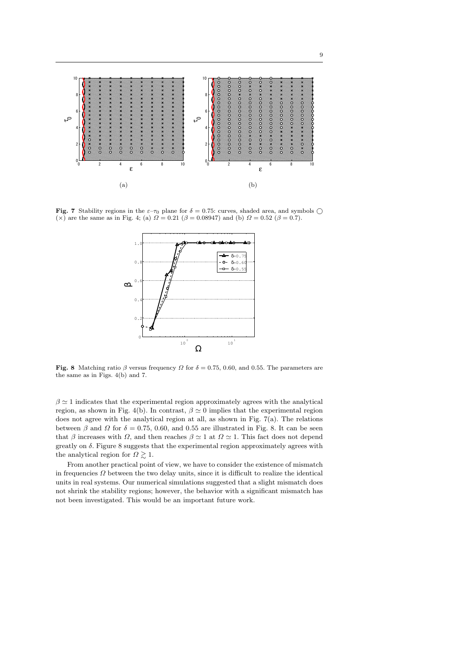

**Fig. 7** Stability regions in the  $\varepsilon$ – $\tau_0$  plane for  $\delta = 0.75$ : curves, shaded area, and symbols  $\bigcirc$ (*×*) are the same as in Fig. 4; (a)  $Ω = 0.21$  ( $β = 0.08947$ ) and (b)  $Ω = 0.52$  ( $β = 0.7$ ).



**Fig. 8** Matching ratio *β* versus frequency *Ω* for  $\delta = 0.75$ , 0*.*60, and 0*.*55. The parameters are the same as in Figs. 4(b) and 7.

 $\beta \simeq 1$  indicates that the experimental region approximately agrees with the analytical region, as shown in Fig. 4(b). In contrast,  $\beta \simeq 0$  implies that the experimental region does not agree with the analytical region at all, as shown in Fig. 7(a). The relations between  $\beta$  and  $\Omega$  for  $\delta = 0.75$ , 0.60, and 0.55 are illustrated in Fig. 8. It can be seen that *β* increases with *Ω*, and then reaches  $\beta \simeq 1$  at  $\Omega \simeq 1$ . This fact does not depend greatly on *δ*. Figure 8 suggests that the experimental region approximately agrees with the analytical region for  $\Omega \gtrsim 1$ .

From another practical point of view, we have to consider the existence of mismatch in frequencies  $\Omega$  between the two delay units, since it is difficult to realize the identical units in real systems. Our numerical simulations suggested that a slight mismatch does not shrink the stability regions; however, the behavior with a significant mismatch has not been investigated. This would be an important future work.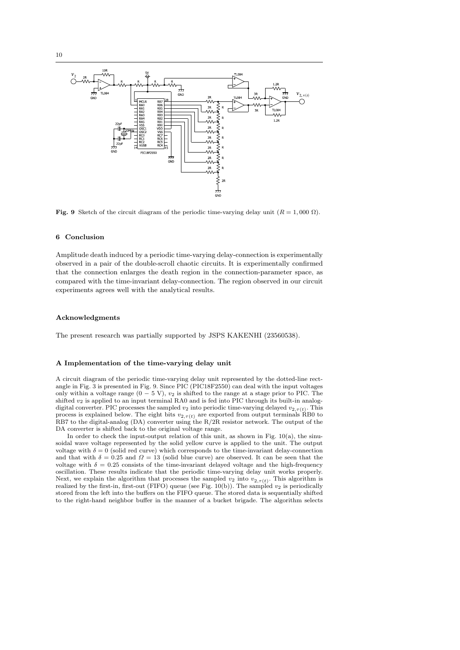

**Fig.** 9 Sketch of the circuit diagram of the periodic time-varying delay unit  $(R = 1,000 \Omega)$ .

#### **6 Conclusion**

Amplitude death induced by a periodic time-varying delay-connection is experimentally observed in a pair of the double-scroll chaotic circuits. It is experimentally confirmed that the connection enlarges the death region in the connection-parameter space, as compared with the time-invariant delay-connection. The region observed in our circuit experiments agrees well with the analytical results.

#### **Acknowledgments**

The present research was partially supported by JSPS KAKENHI (23560538).

## **A Implementation of the time-varying delay unit**

A circuit diagram of the periodic time-varying delay unit represented by the dotted-line rectangle in Fig. 3 is presented in Fig. 9. Since PIC (PIC18F2550) can deal with the input voltages only within a voltage range (0 *−* 5 V), *v*<sup>2</sup> is shifted to the range at a stage prior to PIC. The shifted  $v_2$  is applied to an input terminal RA0 and is fed into PIC through its built-in analogdigital converter. PIC processes the sampled  $v_2$  into periodic time-varying delayed  $v_{2,\tau(t)}$ . This process is explained below. The eight bits  $v_{2,\tau(t)}$  are exported from output terminals RB0 to RB7 to the digital-analog (DA) converter using the R/2R resistor network. The output of the DA converter is shifted back to the original voltage range.

In order to check the input-output relation of this unit, as shown in Fig.  $10(a)$ , the sinusoidal wave voltage represented by the solid yellow curve is applied to the unit. The output voltage with  $\delta = 0$  (solid red curve) which corresponds to the time-invariant delay-connection and that with  $\delta = 0.25$  and  $\Omega = 13$  (solid blue curve) are observed. It can be seen that the voltage with  $\delta = 0.25$  consists of the time-invariant delayed voltage and the high-frequency oscillation. These results indicate that the periodic time-varying delay unit works properly. Next, we explain the algorithm that processes the sampled  $v_2$  into  $v_{2,\tau(t)}$ . This algorithm is realized by the first-in, first-out (FIFO) queue (see Fig.  $10(b)$ ). The sampled  $v_2$  is periodically stored from the left into the buffers on the FIFO queue. The stored data is sequentially shifted to the right-hand neighbor buffer in the manner of a bucket brigade. The algorithm selects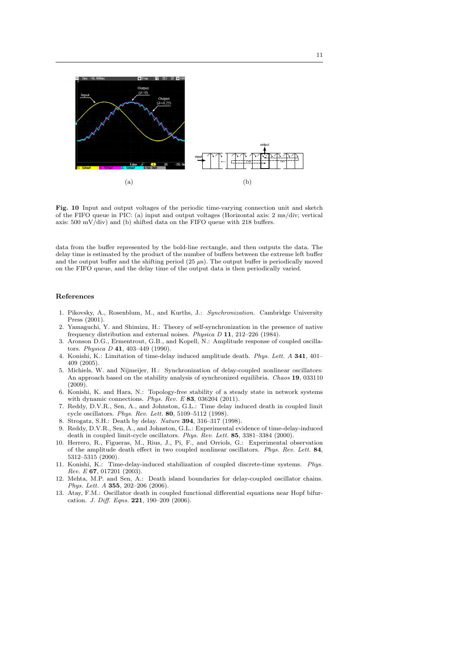

**Fig. 10** Input and output voltages of the periodic time-varying connection unit and sketch of the FIFO queue in PIC: (a) input and output voltages (Horizontal axis: 2 ms/div; vertical axis: 500 mV/div) and (b) shifted data on the FIFO queue with 218 buffers.

data from the buffer represented by the bold-line rectangle, and then outputs the data. The delay time is estimated by the product of the number of buffers between the extreme left buffer and the output buffer and the shifting period  $(25 \mu s)$ . The output buffer is periodically moved on the FIFO queue, and the delay time of the output data is then periodically varied.

#### **References**

- 1. Pikovsky, A., Rosenblum, M., and Kurths, J.: *Synchronization*. Cambridge University Press (2001).
- 2. Yamaguchi, Y. and Shimizu, H.: Theory of self-synchronization in the presence of native frequency distribution and external noises. *Physica D* **11**, 212–226 (1984).
- 3. Aronson D.G., Ermentrout, G.B., and Kopell, N.: Amplitude response of coupled oscillators. *Physica D* **41**, 403–449 (1990).
- 4. Konishi, K.: Limitation of time-delay induced amplitude death. *Phys. Lett. A* **341**, 401– 409 (2005).
- 5. Michiels, W. and Nijmeijer, H.: Synchronization of delay-coupled nonlinear oscillators: An approach based on the stability analysis of synchronized equilibria. *Chaos* **19**, 033110 (2009).
- 6. Konishi, K. and Hara, N.: Topology-free stability of a steady state in network systems with dynamic connections. *Phys. Rev. E* **83**, 036204 (2011).
- 7. Reddy, D.V.R., Sen, A., and Johnston, G.L.: Time delay induced death in coupled limit cycle oscillators. *Phys. Rev. Lett.* **80**, 5109–5112 (1998).
- 8. Strogatz, S.H.: Death by delay. *Nature* **394**, 316–317 (1998).
- 9. Reddy, D.V.R., Sen, A., and Johnston, G.L.: Experimental evidence of time-delay-induced death in coupled limit-cycle oscillators. *Phys. Rev. Lett.* **85**, 3381–3384 (2000).
- 10. Herrero, R., Figueras, M., Rius, J., Pi, F., and Orriols, G.: Experimental observation of the amplitude death effect in two coupled nonlinear oscillators. *Phys. Rev. Lett.* **84**, 5312–5315 (2000).
- 11. Konishi, K.: Time-delay-induced stabilization of coupled discrete-time systems. *Phys. Rev. E* **67**, 017201 (2003).
- 12. Mehta, M.P. and Sen, A.: Death island boundaries for delay-coupled oscillator chains. *Phys. Lett. A* **355**, 202–206 (2006).
- 13. Atay, F.M.: Oscillator death in coupled functional differential equations near Hopf bifurcation. *J. Diff. Eqns.* **221**, 190–209 (2006).